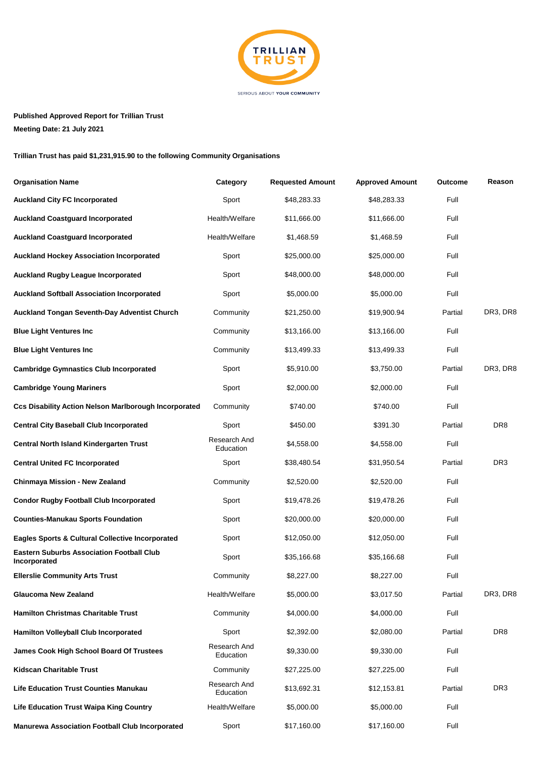

## **Published Approved Report for Trillian Trust**

**Meeting Date: 21 July 2021**

## **Trillian Trust has paid \$1,231,915.90 to the following Community Organisations**

| <b>Organisation Name</b>                                         | Category                  | <b>Requested Amount</b> | <b>Approved Amount</b> | <b>Outcome</b> | Reason          |
|------------------------------------------------------------------|---------------------------|-------------------------|------------------------|----------------|-----------------|
| <b>Auckland City FC Incorporated</b>                             | Sport                     | \$48,283.33             | \$48,283.33            | Full           |                 |
| <b>Auckland Coastguard Incorporated</b>                          | Health/Welfare            | \$11,666.00             | \$11,666.00            | Full           |                 |
| <b>Auckland Coastguard Incorporated</b>                          | Health/Welfare            | \$1,468.59              | \$1,468.59             | Full           |                 |
| <b>Auckland Hockey Association Incorporated</b>                  | Sport                     | \$25,000.00             | \$25,000.00            | Full           |                 |
| <b>Auckland Rugby League Incorporated</b>                        | Sport                     | \$48,000.00             | \$48,000.00            | Full           |                 |
| <b>Auckland Softball Association Incorporated</b>                | Sport                     | \$5,000.00              | \$5,000.00             | Full           |                 |
| <b>Auckland Tongan Seventh-Day Adventist Church</b>              | Community                 | \$21,250.00             | \$19,900.94            | Partial        | DR3, DR8        |
| <b>Blue Light Ventures Inc</b>                                   | Community                 | \$13,166.00             | \$13,166.00            | Full           |                 |
| <b>Blue Light Ventures Inc</b>                                   | Community                 | \$13,499.33             | \$13,499.33            | Full           |                 |
| <b>Cambridge Gymnastics Club Incorporated</b>                    | Sport                     | \$5,910.00              | \$3,750.00             | Partial        | DR3, DR8        |
| <b>Cambridge Young Mariners</b>                                  | Sport                     | \$2,000.00              | \$2,000.00             | Full           |                 |
| <b>Ccs Disability Action Nelson Marlborough Incorporated</b>     | Community                 | \$740.00                | \$740.00               | Full           |                 |
| <b>Central City Baseball Club Incorporated</b>                   | Sport                     | \$450.00                | \$391.30               | Partial        | DR <sub>8</sub> |
| Central North Island Kindergarten Trust                          | Research And<br>Education | \$4,558.00              | \$4,558.00             | Full           |                 |
| <b>Central United FC Incorporated</b>                            | Sport                     | \$38,480.54             | \$31,950.54            | Partial        | DR <sub>3</sub> |
| Chinmaya Mission - New Zealand                                   | Community                 | \$2,520.00              | \$2,520.00             | Full           |                 |
| <b>Condor Rugby Football Club Incorporated</b>                   | Sport                     | \$19,478.26             | \$19,478.26            | Full           |                 |
| <b>Counties-Manukau Sports Foundation</b>                        | Sport                     | \$20,000.00             | \$20,000.00            | Full           |                 |
| <b>Eagles Sports &amp; Cultural Collective Incorporated</b>      | Sport                     | \$12,050.00             | \$12,050.00            | Full           |                 |
| <b>Eastern Suburbs Association Football Club</b><br>Incorporated | Sport                     | \$35,166.68             | \$35,166.68            | Full           |                 |
| <b>Ellerslie Community Arts Trust</b>                            | Community                 | \$8,227.00              | \$8,227.00             | Full           |                 |
| <b>Glaucoma New Zealand</b>                                      | Health/Welfare            | \$5,000.00              | \$3,017.50             | Partial        | DR3, DR8        |
| <b>Hamilton Christmas Charitable Trust</b>                       | Community                 | \$4,000.00              | \$4,000.00             | Full           |                 |
| <b>Hamilton Volleyball Club Incorporated</b>                     | Sport                     | \$2,392.00              | \$2,080.00             | Partial        | DR <sub>8</sub> |
| <b>James Cook High School Board Of Trustees</b>                  | Research And<br>Education | \$9,330.00              | \$9,330.00             | Full           |                 |
| <b>Kidscan Charitable Trust</b>                                  | Community                 | \$27,225.00             | \$27,225.00            | Full           |                 |
| <b>Life Education Trust Counties Manukau</b>                     | Research And<br>Education | \$13,692.31             | \$12,153.81            | Partial        | DR <sub>3</sub> |
| <b>Life Education Trust Waipa King Country</b>                   | Health/Welfare            | \$5,000.00              | \$5,000.00             | Full           |                 |
| <b>Manurewa Association Football Club Incorporated</b>           | Sport                     | \$17,160.00             | \$17,160.00            | Full           |                 |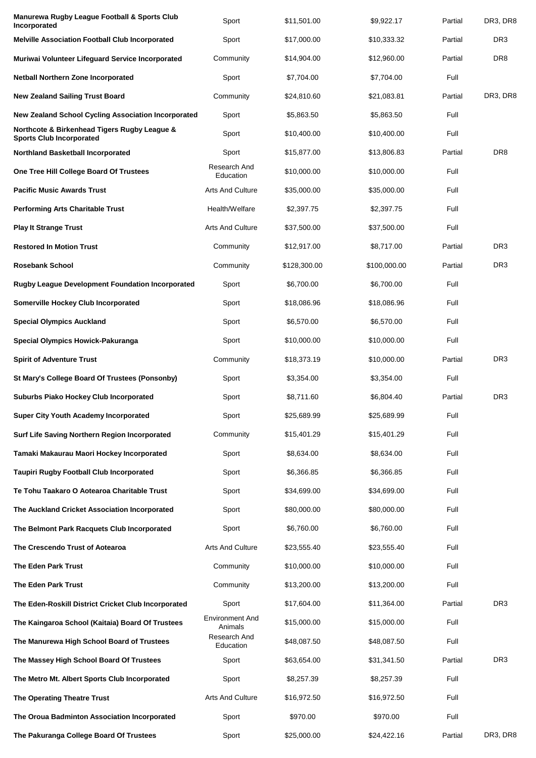| Manurewa Rugby League Football & Sports Club<br>Incorporated                    | Sport                             | \$11,501.00  | \$9,922.17   | Partial | DR3, DR8        |
|---------------------------------------------------------------------------------|-----------------------------------|--------------|--------------|---------|-----------------|
| <b>Melville Association Football Club Incorporated</b>                          | Sport                             | \$17,000.00  | \$10,333.32  | Partial | DR <sub>3</sub> |
| Muriwai Volunteer Lifeguard Service Incorporated                                | Community                         | \$14,904.00  | \$12,960.00  | Partial | DR <sub>8</sub> |
| <b>Netball Northern Zone Incorporated</b>                                       | Sport                             | \$7,704.00   | \$7,704.00   | Full    |                 |
| <b>New Zealand Sailing Trust Board</b>                                          | Community                         | \$24,810.60  | \$21,083.81  | Partial | DR3, DR8        |
| <b>New Zealand School Cycling Association Incorporated</b>                      | Sport                             | \$5,863.50   | \$5,863.50   | Full    |                 |
| Northcote & Birkenhead Tigers Rugby League &<br><b>Sports Club Incorporated</b> | Sport                             | \$10,400.00  | \$10,400.00  | Full    |                 |
| <b>Northland Basketball Incorporated</b>                                        | Sport                             | \$15,877.00  | \$13,806.83  | Partial | DR <sub>8</sub> |
| One Tree Hill College Board Of Trustees                                         | Research And<br>Education         | \$10,000.00  | \$10,000.00  | Full    |                 |
| <b>Pacific Music Awards Trust</b>                                               | <b>Arts And Culture</b>           | \$35,000.00  | \$35,000.00  | Full    |                 |
| <b>Performing Arts Charitable Trust</b>                                         | Health/Welfare                    | \$2,397.75   | \$2,397.75   | Full    |                 |
| <b>Play It Strange Trust</b>                                                    | <b>Arts And Culture</b>           | \$37,500.00  | \$37,500.00  | Full    |                 |
| <b>Restored In Motion Trust</b>                                                 | Community                         | \$12,917.00  | \$8,717.00   | Partial | DR <sub>3</sub> |
| <b>Rosebank School</b>                                                          | Community                         | \$128,300.00 | \$100,000,00 | Partial | DR <sub>3</sub> |
| <b>Rugby League Development Foundation Incorporated</b>                         | Sport                             | \$6,700.00   | \$6,700.00   | Full    |                 |
| <b>Somerville Hockey Club Incorporated</b>                                      | Sport                             | \$18,086.96  | \$18,086.96  | Full    |                 |
| <b>Special Olympics Auckland</b>                                                | Sport                             | \$6,570.00   | \$6,570.00   | Full    |                 |
| <b>Special Olympics Howick-Pakuranga</b>                                        | Sport                             | \$10,000.00  | \$10,000.00  | Full    |                 |
| <b>Spirit of Adventure Trust</b>                                                | Community                         | \$18,373.19  | \$10,000.00  | Partial | DR <sub>3</sub> |
| St Mary's College Board Of Trustees (Ponsonby)                                  | Sport                             | \$3,354.00   | \$3,354.00   | Full    |                 |
| <b>Suburbs Piako Hockey Club Incorporated</b>                                   | Sport                             | \$8,711.60   | \$6,804.40   | Partial | DR <sub>3</sub> |
| <b>Super City Youth Academy Incorporated</b>                                    | Sport                             | \$25,689.99  | \$25,689.99  | Full    |                 |
| Surf Life Saving Northern Region Incorporated                                   | Community                         | \$15,401.29  | \$15,401.29  | Full    |                 |
| Tamaki Makaurau Maori Hockey Incorporated                                       | Sport                             | \$8,634.00   | \$8,634.00   | Full    |                 |
| <b>Taupiri Rugby Football Club Incorporated</b>                                 | Sport                             | \$6,366.85   | \$6,366.85   | Full    |                 |
| Te Tohu Taakaro O Aotearoa Charitable Trust                                     | Sport                             | \$34,699.00  | \$34,699.00  | Full    |                 |
| The Auckland Cricket Association Incorporated                                   | Sport                             | \$80,000.00  | \$80,000.00  | Full    |                 |
| The Belmont Park Racquets Club Incorporated                                     | Sport                             | \$6,760.00   | \$6,760.00   | Full    |                 |
| The Crescendo Trust of Aotearoa                                                 | <b>Arts And Culture</b>           | \$23,555.40  | \$23,555.40  | Full    |                 |
| <b>The Eden Park Trust</b>                                                      | Community                         | \$10,000.00  | \$10,000.00  | Full    |                 |
| <b>The Eden Park Trust</b>                                                      | Community                         | \$13,200.00  | \$13,200.00  | Full    |                 |
| The Eden-Roskill District Cricket Club Incorporated                             | Sport                             | \$17,604.00  | \$11,364.00  | Partial | DR <sub>3</sub> |
| The Kaingaroa School (Kaitaia) Board Of Trustees                                | <b>Environment And</b><br>Animals | \$15,000.00  | \$15,000.00  | Full    |                 |
| The Manurewa High School Board of Trustees                                      | Research And<br>Education         | \$48,087.50  | \$48,087.50  | Full    |                 |
| The Massey High School Board Of Trustees                                        | Sport                             | \$63,654.00  | \$31,341.50  | Partial | DR <sub>3</sub> |
| The Metro Mt. Albert Sports Club Incorporated                                   | Sport                             | \$8,257.39   | \$8,257.39   | Full    |                 |
| The Operating Theatre Trust                                                     | <b>Arts And Culture</b>           | \$16,972.50  | \$16,972.50  | Full    |                 |
| The Oroua Badminton Association Incorporated                                    | Sport                             | \$970.00     | \$970.00     | Full    |                 |
| The Pakuranga College Board Of Trustees                                         | Sport                             | \$25,000.00  | \$24,422.16  | Partial | DR3, DR8        |
|                                                                                 |                                   |              |              |         |                 |